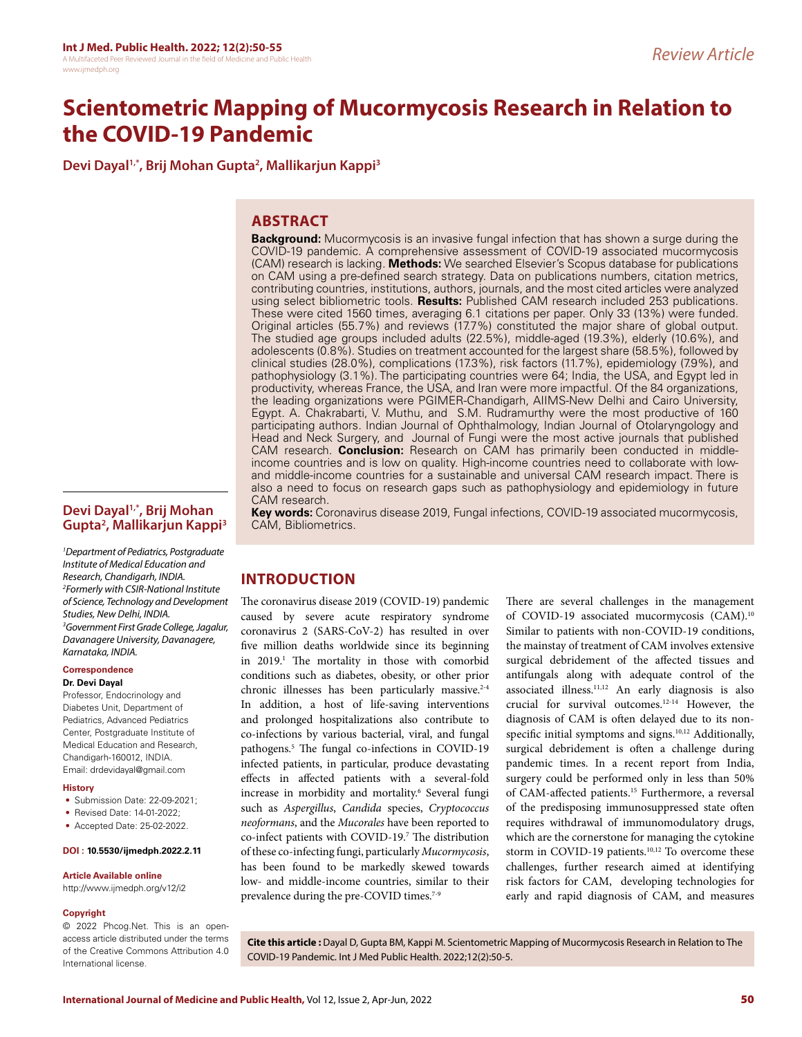# **Scientometric Mapping of Mucormycosis Research in Relation to the COVID-19 Pandemic**

**Devi Dayal1,\*, Brij Mohan Gupta2 , Mallikarjun Kappi3**

# **ABSTRACT**

**Devi Dayal1,\*, Brij Mohan Gupta2 , Mallikarjun Kappi3**

*1 Department of Pediatrics, Postgraduate Institute of Medical Education and Research, Chandigarh, INDIA. 2 Formerly with CSIR-National Institute of Science, Technology and Development Studies, New Delhi, INDIA. 3 Government First Grade College, Jagalur, Davanagere University, Davanagere, Karnataka, INDIA.*

#### **Correspondence Dr. Devi Dayal**

Professor, Endocrinology and Diabetes Unit, Department of Pediatrics, Advanced Pediatrics Center, Postgraduate Institute of Medical Education and Research, Chandigarh-160012, INDIA. Email: drdevidayal@gmail.com

#### **History**

- Submission Date: 22-09-2021;
- Revised Date: 14-01-2022;
- Accepted Date: 25-02-2022.

#### **DOI : 10.5530/ijmedph.2022.2.11**

#### **Article Available online**

http://www.ijmedph.org/v12/i2

#### **Copyright**

© 2022 Phcog.Net. This is an openaccess article distributed under the terms of the Creative Commons Attribution 4.0 International license.

**Background:** Mucormycosis is an invasive fungal infection that has shown a surge during the COVID-19 pandemic. A comprehensive assessment of COVID-19 associated mucormycosis (CAM) research is lacking. **Methods:** We searched Elsevier's Scopus database for publications on CAM using a pre-defined search strategy. Data on publications numbers, citation metrics, contributing countries, institutions, authors, journals, and the most cited articles were analyzed using select bibliometric tools. **Results:** Published CAM research included 253 publications. These were cited 1560 times, averaging 6.1 citations per paper. Only 33 (13%) were funded. Original articles (55.7%) and reviews (17.7%) constituted the major share of global output. The studied age groups included adults (22.5%), middle-aged (19.3%), elderly (10.6%), and adolescents (0.8%). Studies on treatment accounted for the largest share (58.5%), followed by clinical studies (28.0%), complications (17.3%), risk factors (11.7%), epidemiology (7.9%), and pathophysiology (3.1%). The participating countries were 64; India, the USA, and Egypt led in productivity, whereas France, the USA, and Iran were more impactful. Of the 84 organizations, the leading organizations were PGIMER-Chandigarh, AIIMS-New Delhi and Cairo University, Egypt. A. Chakrabarti, V. Muthu, and S.M. Rudramurthy were the most productive of 160 participating authors. Indian Journal of Ophthalmology, Indian Journal of Otolaryngology and Head and Neck Surgery, and Journal of Fungi were the most active journals that published CAM research. **Conclusion:** Research on CAM has primarily been conducted in middleincome countries and is low on quality. High-income countries need to collaborate with lowand middle-income countries for a sustainable and universal CAM research impact. There is also a need to focus on research gaps such as pathophysiology and epidemiology in future CAM research.

**Key words:** Coronavirus disease 2019, Fungal infections, COVID-19 associated mucormycosis, CAM, Bibliometrics.

# **INTRODUCTION**

The coronavirus disease 2019 (COVID-19) pandemic caused by severe acute respiratory syndrome coronavirus 2 (SARS-CoV-2) has resulted in over five million deaths worldwide since its beginning in 2019.<sup>1</sup> The mortality in those with comorbid conditions such as diabetes, obesity, or other prior chronic illnesses has been particularly massive. $2-4$ In addition, a host of life-saving interventions and prolonged hospitalizations also contribute to co-infections by various bacterial, viral, and fungal pathogens.5 The fungal co-infections in COVID-19 infected patients, in particular, produce devastating effects in affected patients with a several-fold increase in morbidity and mortality.6 Several fungi such as *Aspergillus*, *Candida* species, *Cryptococcus neoformans*, and the *Mucorales* have been reported to co-infect patients with COVID-19.7 The distribution of these co-infecting fungi, particularly *Mucormycosis*, has been found to be markedly skewed towards low- and middle-income countries, similar to their prevalence during the pre-COVID times.<sup>7-9</sup>

There are several challenges in the management of COVID-19 associated mucormycosis (CAM).10 Similar to patients with non-COVID-19 conditions, the mainstay of treatment of CAM involves extensive surgical debridement of the affected tissues and antifungals along with adequate control of the associated illness.<sup>11,12</sup> An early diagnosis is also crucial for survival outcomes.12-14 However, the diagnosis of CAM is often delayed due to its nonspecific initial symptoms and signs.<sup>10,12</sup> Additionally, surgical debridement is often a challenge during pandemic times. In a recent report from India, surgery could be performed only in less than 50% of CAM-affected patients.15 Furthermore, a reversal of the predisposing immunosuppressed state often requires withdrawal of immunomodulatory drugs, which are the cornerstone for managing the cytokine storm in COVID-19 patients.<sup>10,12</sup> To overcome these challenges, further research aimed at identifying risk factors for CAM, developing technologies for early and rapid diagnosis of CAM, and measures

**Cite this article :** Dayal D, Gupta BM, Kappi M. Scientometric Mapping of Mucormycosis Research in Relation to The COVID-19 Pandemic. Int J Med Public Health. 2022;12(2):50-5.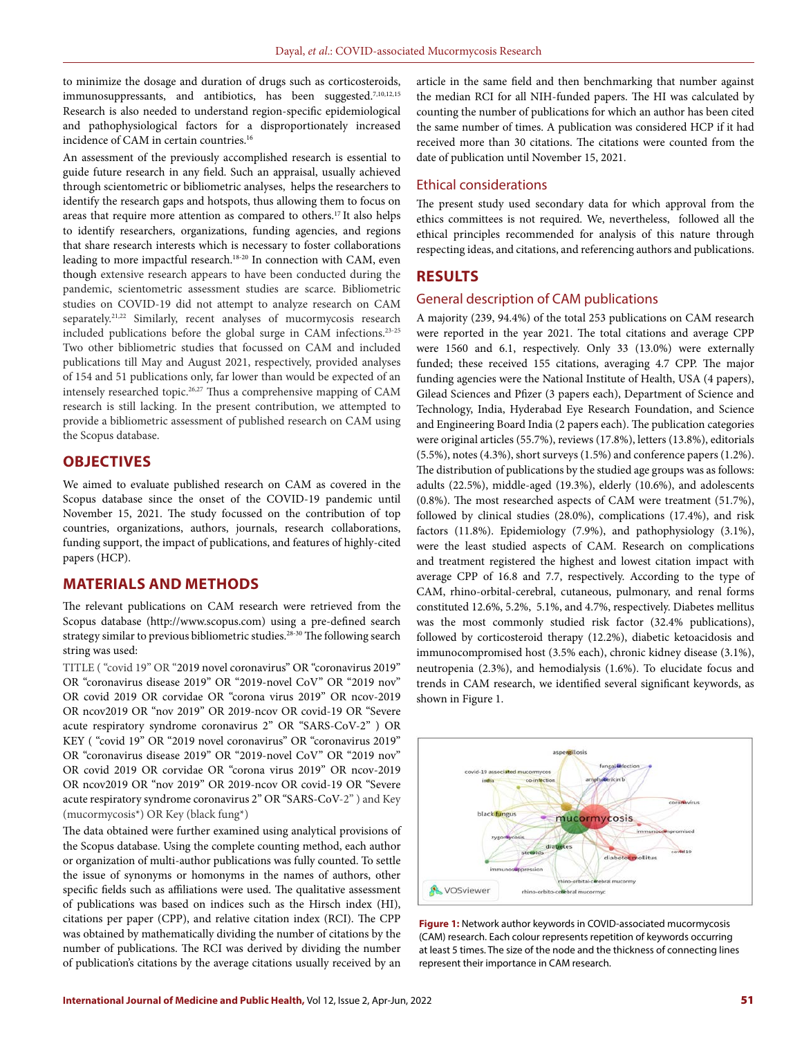to minimize the dosage and duration of drugs such as corticosteroids, immunosuppressants, and antibiotics, has been suggested.<sup>7,10,12,15</sup> Research is also needed to understand region-specific epidemiological and pathophysiological factors for a disproportionately increased incidence of CAM in certain countries.<sup>16</sup>

An assessment of the previously accomplished research is essential to guide future research in any field. Such an appraisal, usually achieved through scientometric or bibliometric analyses, helps the researchers to identify the research gaps and hotspots, thus allowing them to focus on areas that require more attention as compared to others.17 It also helps to identify researchers, organizations, funding agencies, and regions that share research interests which is necessary to foster collaborations leading to more impactful research.<sup>18-20</sup> In connection with CAM, even though extensive research appears to have been conducted during the pandemic, scientometric assessment studies are scarce. Bibliometric studies on COVID-19 did not attempt to analyze research on CAM separately.<sup>21,22</sup> Similarly, recent analyses of mucormycosis research included publications before the global surge in CAM infections.23-25 Two other bibliometric studies that focussed on CAM and included publications till May and August 2021, respectively, provided analyses of 154 and 51 publications only, far lower than would be expected of an intensely researched topic.26,27 Thus a comprehensive mapping of CAM research is still lacking. In the present contribution, we attempted to provide a bibliometric assessment of published research on CAM using the Scopus database.

## **OBJECTIVES**

We aimed to evaluate published research on CAM as covered in the Scopus database since the onset of the COVID-19 pandemic until November 15, 2021. The study focussed on the contribution of top countries, organizations, authors, journals, research collaborations, funding support, the impact of publications, and features of highly-cited papers (HCP).

## **MATERIALS AND METHODS**

The relevant publications on CAM research were retrieved from the Scopus database (http://www.scopus.com) using a pre-defined search strategy similar to previous bibliometric studies.<sup>28-30</sup> The following search string was used:

TITLE ( "covid 19" OR "2019 novel coronavirus" OR "coronavirus 2019" OR "coronavirus disease 2019" OR "2019-novel CoV" OR "2019 nov" OR covid 2019 OR corvidae OR "corona virus 2019" OR ncov-2019 OR ncov2019 OR "nov 2019" OR 2019-ncov OR covid-19 OR "Severe acute respiratory syndrome coronavirus 2" OR "SARS-CoV-2" ) OR KEY ( "covid 19" OR "2019 novel coronavirus" OR "coronavirus 2019" OR "coronavirus disease 2019" OR "2019-novel CoV" OR "2019 nov" OR covid 2019 OR corvidae OR "corona virus 2019" OR ncov-2019 OR ncov2019 OR "nov 2019" OR 2019-ncov OR covid-19 OR "Severe acute respiratory syndrome coronavirus 2" OR "SARS-CoV-2" ) and Key (mucormycosis\*) OR Key (black fung\*)

The data obtained were further examined using analytical provisions of the Scopus database. Using the complete counting method, each author or organization of multi-author publications was fully counted. To settle the issue of synonyms or homonyms in the names of authors, other specific fields such as affiliations were used. The qualitative assessment of publications was based on indices such as the Hirsch index (HI), citations per paper (CPP), and relative citation index (RCI). The CPP was obtained by mathematically dividing the number of citations by the number of publications. The RCI was derived by dividing the number of publication's citations by the average citations usually received by an

article in the same field and then benchmarking that number against the median RCI for all NIH-funded papers. The HI was calculated by counting the number of publications for which an author has been cited the same number of times. A publication was considered HCP if it had received more than 30 citations. The citations were counted from the date of publication until November 15, 2021.

#### Ethical considerations

The present study used secondary data for which approval from the ethics committees is not required. We, nevertheless, followed all the ethical principles recommended for analysis of this nature through respecting ideas, and citations, and referencing authors and publications.

## **RESULTS**

#### General description of CAM publications

A majority (239, 94.4%) of the total 253 publications on CAM research were reported in the year 2021. The total citations and average CPP were 1560 and 6.1, respectively. Only 33 (13.0%) were externally funded; these received 155 citations, averaging 4.7 CPP. The major funding agencies were the National Institute of Health, USA (4 papers), Gilead Sciences and Pfizer (3 papers each), Department of Science and Technology, India, Hyderabad Eye Research Foundation, and Science and Engineering Board India (2 papers each). The publication categories were original articles (55.7%), reviews (17.8%), letters (13.8%), editorials (5.5%), notes (4.3%), short surveys (1.5%) and conference papers (1.2%). The distribution of publications by the studied age groups was as follows: adults (22.5%), middle-aged (19.3%), elderly (10.6%), and adolescents (0.8%). The most researched aspects of CAM were treatment (51.7%), followed by clinical studies (28.0%), complications (17.4%), and risk factors (11.8%). Epidemiology (7.9%), and pathophysiology (3.1%), were the least studied aspects of CAM. Research on complications and treatment registered the highest and lowest citation impact with average CPP of 16.8 and 7.7, respectively. According to the type of CAM, rhino-orbital-cerebral, cutaneous, pulmonary, and renal forms constituted 12.6%, 5.2%, 5.1%, and 4.7%, respectively. Diabetes mellitus was the most commonly studied risk factor (32.4% publications), followed by corticosteroid therapy (12.2%), diabetic ketoacidosis and immunocompromised host (3.5% each), chronic kidney disease (3.1%), neutropenia (2.3%), and hemodialysis (1.6%). To elucidate focus and trends in CAM research, we identified several significant keywords, as shown in Figure 1.



**Figure 1:** Network author keywords in COVID-associated mucormycosis (CAM) research. Each colour represents repetition of keywords occurring at least 5 times. The size of the node and the thickness of connecting lines represent their importance in CAM research.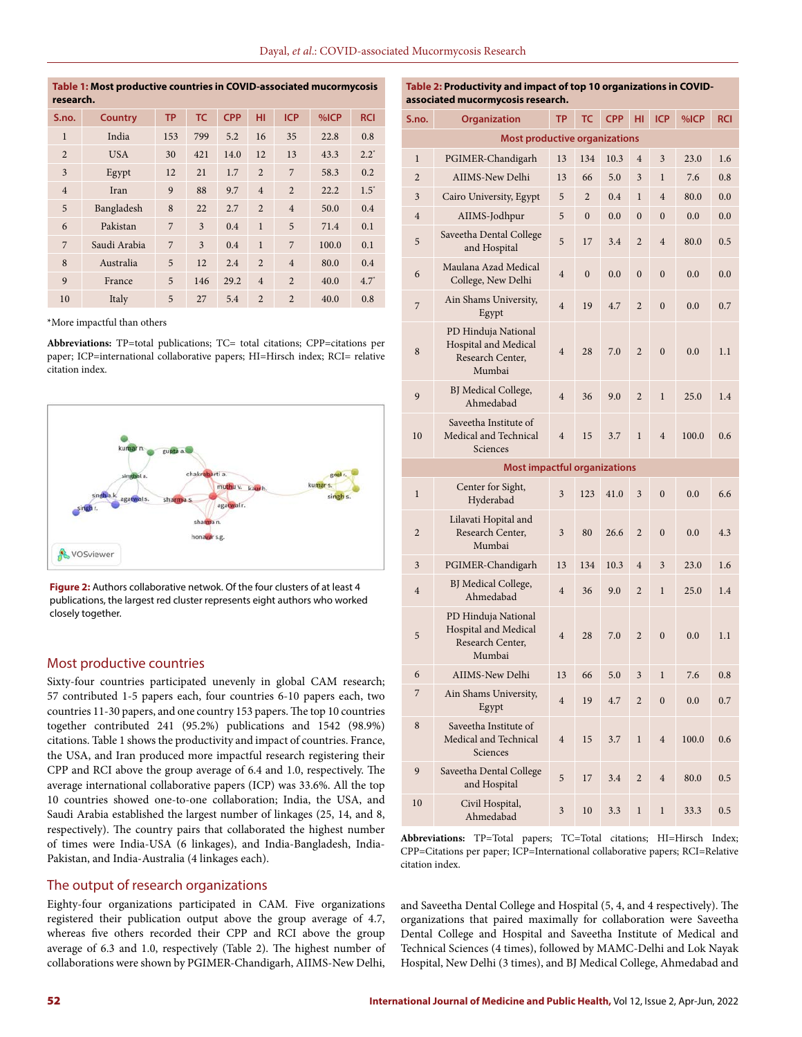| Table 1: Most productive countries in COVID-associated mucormycosis<br>research. |                                                                                    |     |     |      |                          |                |       |               |  |
|----------------------------------------------------------------------------------|------------------------------------------------------------------------------------|-----|-----|------|--------------------------|----------------|-------|---------------|--|
| S.no.                                                                            | <b>TC</b><br><b>CPP</b><br><b>ICP</b><br>%ICP<br><b>TP</b><br>нı<br><b>Country</b> |     |     |      |                          |                |       |               |  |
| $\mathbf{1}$                                                                     | India                                                                              | 153 | 799 | 5.2  | 16                       | 35             | 22.8  | 0.8           |  |
| $\overline{2}$                                                                   | <b>USA</b>                                                                         | 30  | 421 | 14.0 | 12                       | 13             | 43.3  | $2.2^*$       |  |
| 3                                                                                | Egypt                                                                              | 12  | 21  | 1.7  | $\overline{2}$           | 7              | 58.3  | 0.2           |  |
| $\overline{4}$                                                                   | Iran                                                                               | 9   | 88  | 9.7  | $\overline{4}$           | $\overline{2}$ | 22.2  | $1.5^{\circ}$ |  |
| 5                                                                                | Bangladesh                                                                         | 8   | 22  | 2.7  | $\overline{2}$           | $\overline{4}$ | 50.0  | 0.4           |  |
| 6                                                                                | Pakistan                                                                           | 7   | 3   | 0.4  | $\mathbf{1}$             | 5              | 71.4  | 0.1           |  |
| $\overline{7}$                                                                   | Saudi Arabia                                                                       | 7   | 3   | 0.4  | $\mathbf{1}$             | 7              | 100.0 | 0.1           |  |
| 8                                                                                | Australia                                                                          | 5   | 12  | 2.4  | $\overline{2}$           | $\overline{4}$ | 80.0  | 0.4           |  |
| $\mathbf{q}$                                                                     | France                                                                             | 5   | 146 | 29.2 | $\overline{4}$           | $\overline{2}$ | 40.0  | $4.7^*$       |  |
| 10                                                                               | Italy                                                                              | 5   | 27  | 5.4  | $\overline{\mathcal{L}}$ | $\overline{2}$ | 40.0  | 0.8           |  |

\*More impactful than others

**Abbreviations:** TP=total publications; TC= total citations; CPP=citations per paper; ICP=international collaborative papers; HI=Hirsch index; RCI= relative citation index.



**Figure 2:** Authors collaborative netwok. Of the four clusters of at least 4 publications, the largest red cluster represents eight authors who worked closely together.

#### Most productive countries

Sixty-four countries participated unevenly in global CAM research; 57 contributed 1-5 papers each, four countries 6-10 papers each, two countries 11-30 papers, and one country 153 papers. The top 10 countries together contributed 241 (95.2%) publications and 1542 (98.9%) citations. Table 1 shows the productivity and impact of countries. France, the USA, and Iran produced more impactful research registering their CPP and RCI above the group average of 6.4 and 1.0, respectively. The average international collaborative papers (ICP) was 33.6%. All the top 10 countries showed one-to-one collaboration; India, the USA, and Saudi Arabia established the largest number of linkages (25, 14, and 8, respectively). The country pairs that collaborated the highest number of times were India-USA (6 linkages), and India-Bangladesh, India-Pakistan, and India-Australia (4 linkages each).

#### The output of research organizations

Eighty-four organizations participated in CAM. Five organizations registered their publication output above the group average of 4.7, whereas five others recorded their CPP and RCI above the group average of 6.3 and 1.0, respectively (Table 2). The highest number of collaborations were shown by PGIMER-Chandigarh, AIIMS-New Delhi,

|                                   | Table 2: Productivity and impact of top 10 organizations in COVID- |
|-----------------------------------|--------------------------------------------------------------------|
| associated mucormycosis research. |                                                                    |

| S.no.                                | Organization                                                              |                         | <b>TC</b>        | <b>CPP</b> | HI               | <b>ICP</b>     | %ICP  | <b>RCI</b> |  |  |  |
|--------------------------------------|---------------------------------------------------------------------------|-------------------------|------------------|------------|------------------|----------------|-------|------------|--|--|--|
| <b>Most productive organizations</b> |                                                                           |                         |                  |            |                  |                |       |            |  |  |  |
| $\bf{l}$                             | PGIMER-Chandigarh                                                         | 13                      | 134              | 10.3       | $\overline{4}$   | 3              | 23.0  | 1.6        |  |  |  |
| $\overline{c}$                       | AIIMS-New Delhi                                                           | 13                      | 66               | 5.0        | 3                | $\mathbf 1$    | 7.6   | 0.8        |  |  |  |
| 3                                    | Cairo University, Egypt                                                   | 5                       | $\overline{2}$   | 0.4        | $\mathbf 1$      | $\overline{4}$ | 80.0  | 0.0        |  |  |  |
| $\overline{4}$                       | AIIMS-Jodhpur                                                             | 5                       | $\mathbf{0}$     | 0.0        | $\boldsymbol{0}$ | $\bf{0}$       | 0.0   | 0.0        |  |  |  |
| 5                                    | Saveetha Dental College<br>and Hospital                                   | 5                       | 17               | 3.4        | $\overline{2}$   | $\overline{4}$ | 80.0  | 0.5        |  |  |  |
| 6                                    | Maulana Azad Medical<br>College, New Delhi                                | $\overline{4}$          | $\boldsymbol{0}$ | 0.0        | $\boldsymbol{0}$ | $\mathbf{0}$   | 0.0   | 0.0        |  |  |  |
| 7                                    | Ain Shams University,<br>Egypt                                            | $\overline{4}$          | 19               | 4.7        | $\overline{2}$   | $\overline{0}$ | 0.0   | 0.7        |  |  |  |
| 8                                    | PD Hinduja National<br>Hospital and Medical<br>Research Center,<br>Mumbai | $\overline{4}$          | 28               | 7.0        | $\overline{2}$   | $\overline{0}$ | 0.0   | 1.1        |  |  |  |
| 9                                    | BJ Medical College,<br>Ahmedabad                                          | $\overline{4}$          | 36               | 9.0        | $\overline{2}$   | $\mathbf{1}$   | 25.0  | 1.4        |  |  |  |
| 10                                   | Saveetha Institute of<br>Medical and Technical<br>Sciences                | $\overline{4}$          | 15               | 3.7        | $\mathbf{1}$     | $\overline{4}$ | 100.0 | 0.6        |  |  |  |
|                                      | <b>Most impactful organizations</b>                                       |                         |                  |            |                  |                |       |            |  |  |  |
| $\mathbf 1$                          | Center for Sight,<br>Hyderabad                                            | 3                       | 123              | 41.0       | 3                | $\overline{0}$ | 0.0   | 6.6        |  |  |  |
| $\overline{2}$                       | Lilavati Hopital and<br>Research Center,<br>Mumbai                        | $\overline{\mathbf{3}}$ | 80               | 26.6       | $\overline{2}$   | $\bf{0}$       | 0.0   | 4.3        |  |  |  |
| 3                                    | PGIMER-Chandigarh                                                         | 13                      | 134              | 10.3       | $\overline{4}$   | 3              | 23.0  | 1.6        |  |  |  |
| $\overline{4}$                       | BJ Medical College,<br>Ahmedabad                                          | $\overline{4}$          | 36               | 9.0        | $\overline{2}$   | $\mathbf{1}$   | 25.0  | 1.4        |  |  |  |
| 5                                    | PD Hinduja National<br>Hospital and Medical<br>Research Center,<br>Mumbai | $\overline{4}$          | 28               | 7.0        | $\overline{2}$   | $\overline{0}$ | 0.0   | 1.1        |  |  |  |
| 6                                    | AIIMS-New Delhi                                                           | 13                      | 66               | 5.0        | 3                | $\mathbf 1$    | 7.6   | 0.8        |  |  |  |
| 7                                    | Ain Shams University,<br>Egypt                                            | $\overline{4}$          | 19               | 4.7        | $\overline{2}$   | $\mathbf{0}$   | 0.0   | 0.7        |  |  |  |
| 8                                    | Saveetha Institute of<br>Medical and Technical<br>Sciences                | $\overline{4}$          | 15               | 3.7        | $\mathbf{1}$     | $\overline{4}$ | 100.0 | 0.6        |  |  |  |
| 9                                    | Saveetha Dental College<br>and Hospital                                   | 5                       | 17               | 3.4        | $\overline{2}$   | $\overline{4}$ | 80.0  | 0.5        |  |  |  |
| 10                                   | Civil Hospital,<br>Ahmedabad                                              | 3                       | 10               | 3.3        | $\mathbf{1}$     | $\mathbf{1}$   | 33.3  | 0.5        |  |  |  |

**Abbreviations:** TP=Total papers; TC=Total citations; HI=Hirsch Index; CPP=Citations per paper; ICP=International collaborative papers; RCI=Relative citation index.

and Saveetha Dental College and Hospital (5, 4, and 4 respectively). The organizations that paired maximally for collaboration were Saveetha Dental College and Hospital and Saveetha Institute of Medical and Technical Sciences (4 times), followed by MAMC-Delhi and Lok Nayak Hospital, New Delhi (3 times), and BJ Medical College, Ahmedabad and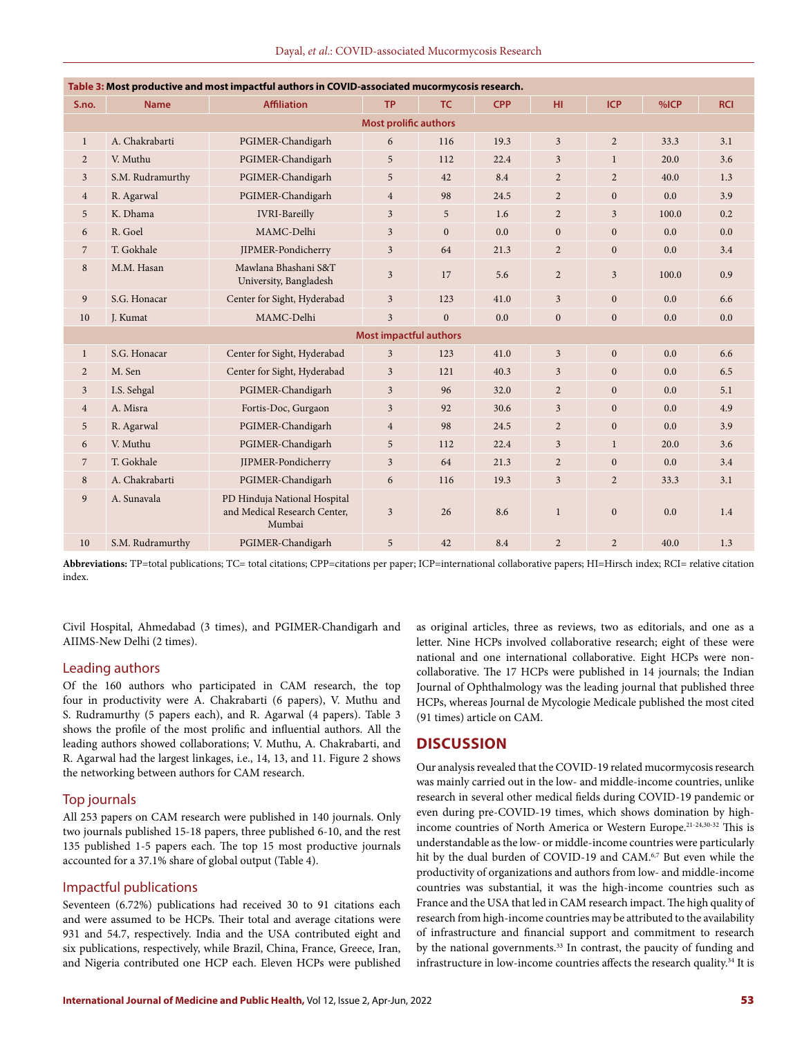|  |  |  | Dayal, et al.: COVID-associated Mucormycosis Research |  |  |  |
|--|--|--|-------------------------------------------------------|--|--|--|
|--|--|--|-------------------------------------------------------|--|--|--|

| Table 3: Most productive and most impactful authors in COVID-associated mucormycosis research. |                  |                                                                        |                               |              |            |                  |                |       |            |  |
|------------------------------------------------------------------------------------------------|------------------|------------------------------------------------------------------------|-------------------------------|--------------|------------|------------------|----------------|-------|------------|--|
| S.no.                                                                                          | <b>Name</b>      | <b>Affiliation</b>                                                     | <b>TP</b>                     | <b>TC</b>    | <b>CPP</b> | HI.              | <b>ICP</b>     | %ICP  | <b>RCI</b> |  |
| <b>Most prolific authors</b>                                                                   |                  |                                                                        |                               |              |            |                  |                |       |            |  |
| $\mathbf{1}$                                                                                   | A. Chakrabarti   | PGIMER-Chandigarh                                                      | 6                             | 116          | 19.3       | $\overline{3}$   | $\overline{2}$ | 33.3  | 3.1        |  |
| $\overline{2}$                                                                                 | V. Muthu         | PGIMER-Chandigarh                                                      | 5                             | 112          | 22.4       | 3                | $\mathbf{1}$   | 20.0  | 3.6        |  |
| $\overline{3}$                                                                                 | S.M. Rudramurthy | PGIMER-Chandigarh                                                      | 5                             | 42           | 8.4        | $\overline{2}$   | $\overline{2}$ | 40.0  | 1.3        |  |
| $\overline{4}$                                                                                 | R. Agarwal       | PGIMER-Chandigarh                                                      | $\overline{4}$                | 98           | 24.5       | $\overline{2}$   | $\Omega$       | 0.0   | 3.9        |  |
| 5                                                                                              | K. Dhama         | <b>IVRI-Bareilly</b>                                                   | $\overline{3}$                | 5            | 1.6        | $\overline{2}$   | $\overline{3}$ | 100.0 | 0.2        |  |
| 6                                                                                              | R. Goel          | MAMC-Delhi                                                             | $\overline{3}$                | $\mathbf{0}$ | 0.0        | $\mathbf{0}$     | $\mathbf{0}$   | 0.0   | 0.0        |  |
| $\overline{7}$                                                                                 | T. Gokhale       | JIPMER-Pondicherry                                                     | $\overline{3}$                | 64           | 21.3       | $\overline{c}$   | $\overline{0}$ | 0.0   | 3.4        |  |
| 8                                                                                              | M.M. Hasan       | Mawlana Bhashani S&T<br>University, Bangladesh                         | $\overline{3}$                | 17           | 5.6        | $\overline{2}$   | $\overline{3}$ | 100.0 | 0.9        |  |
| 9                                                                                              | S.G. Honacar     | Center for Sight, Hyderabad                                            | $\overline{3}$                | 123          | 41.0       | $\overline{3}$   | $\mathbf{0}$   | 0.0   | 6.6        |  |
| 10                                                                                             | J. Kumat         | MAMC-Delhi                                                             | $\overline{\mathbf{3}}$       | $\mathbf{0}$ | 0.0        | $\boldsymbol{0}$ | $\mathbf{0}$   | 0.0   | 0.0        |  |
|                                                                                                |                  |                                                                        | <b>Most impactful authors</b> |              |            |                  |                |       |            |  |
| $\mathbf{1}$                                                                                   | S.G. Honacar     | Center for Sight, Hyderabad                                            | $\overline{3}$                | 123          | 41.0       | $\overline{3}$   | $\mathbf{0}$   | 0.0   | 6.6        |  |
| $\overline{2}$                                                                                 | M. Sen           | Center for Sight, Hyderabad                                            | $\overline{3}$                | 121          | 40.3       | $\overline{3}$   | $\mathbf{0}$   | 0.0   | 6.5        |  |
| $\overline{3}$                                                                                 | I.S. Sehgal      | PGIMER-Chandigarh                                                      | $\overline{3}$                | 96           | 32.0       | $\overline{2}$   | $\overline{0}$ | 0.0   | 5.1        |  |
| $\overline{4}$                                                                                 | A. Misra         | Fortis-Doc, Gurgaon                                                    | $\overline{3}$                | 92           | 30.6       | $\overline{3}$   | $\Omega$       | 0.0   | 4.9        |  |
| 5                                                                                              | R. Agarwal       | PGIMER-Chandigarh                                                      | $\overline{4}$                | 98           | 24.5       | $\overline{2}$   | $\overline{0}$ | 0.0   | 3.9        |  |
| 6                                                                                              | V. Muthu         | PGIMER-Chandigarh                                                      | 5                             | 112          | 22.4       | 3                | $\mathbf{1}$   | 20.0  | 3.6        |  |
| $\overline{7}$                                                                                 | T. Gokhale       | JIPMER-Pondicherry                                                     | $\overline{3}$                | 64           | 21.3       | $\overline{2}$   | $\mathbf{0}$   | 0.0   | 3.4        |  |
| 8                                                                                              | A. Chakrabarti   | PGIMER-Chandigarh                                                      | 6                             | 116          | 19.3       | $\overline{3}$   | $\overline{2}$ | 33.3  | 3.1        |  |
| 9                                                                                              | A. Sunavala      | PD Hinduja National Hospital<br>and Medical Research Center,<br>Mumbai | $\overline{3}$                | 26           | 8.6        | $\mathbf{1}$     | $\mathbf{0}$   | 0.0   | 1.4        |  |
| 10                                                                                             | S.M. Rudramurthy | PGIMER-Chandigarh                                                      | 5                             | 42           | 8.4        | $\overline{2}$   | $\overline{2}$ | 40.0  | 1.3        |  |

**Abbreviations:** TP=total publications; TC= total citations; CPP=citations per paper; ICP=international collaborative papers; HI=Hirsch index; RCI= relative citation index.

Civil Hospital, Ahmedabad (3 times), and PGIMER-Chandigarh and AIIMS-New Delhi (2 times).

#### Leading authors

Of the 160 authors who participated in CAM research, the top four in productivity were A. Chakrabarti (6 papers), V. Muthu and S. Rudramurthy (5 papers each), and R. Agarwal (4 papers). Table 3 shows the profile of the most prolific and influential authors. All the leading authors showed collaborations; V. Muthu, A. Chakrabarti, and R. Agarwal had the largest linkages, i.e., 14, 13, and 11. Figure 2 shows the networking between authors for CAM research.

## Top journals

All 253 papers on CAM research were published in 140 journals. Only two journals published 15-18 papers, three published 6-10, and the rest 135 published 1-5 papers each. The top 15 most productive journals accounted for a 37.1% share of global output (Table 4).

### Impactful publications

Seventeen (6.72%) publications had received 30 to 91 citations each and were assumed to be HCPs. Their total and average citations were 931 and 54.7, respectively. India and the USA contributed eight and six publications, respectively, while Brazil, China, France, Greece, Iran, and Nigeria contributed one HCP each. Eleven HCPs were published as original articles, three as reviews, two as editorials, and one as a letter. Nine HCPs involved collaborative research; eight of these were national and one international collaborative. Eight HCPs were noncollaborative. The 17 HCPs were published in 14 journals; the Indian Journal of Ophthalmology was the leading journal that published three HCPs, whereas Journal de Mycologie Medicale published the most cited (91 times) article on CAM.

## **DISCUSSION**

Our analysis revealed that the COVID-19 related mucormycosis research was mainly carried out in the low- and middle-income countries, unlike research in several other medical fields during COVID-19 pandemic or even during pre-COVID-19 times, which shows domination by highincome countries of North America or Western Europe.21-24,30-32 This is understandable as the low- or middle-income countries were particularly hit by the dual burden of COVID-19 and CAM.<sup>6,7</sup> But even while the productivity of organizations and authors from low- and middle-income countries was substantial, it was the high-income countries such as France and the USA that led in CAM research impact. The high quality of research from high-income countries may be attributed to the availability of infrastructure and financial support and commitment to research by the national governments.<sup>33</sup> In contrast, the paucity of funding and infrastructure in low-income countries affects the research quality.<sup>34</sup> It is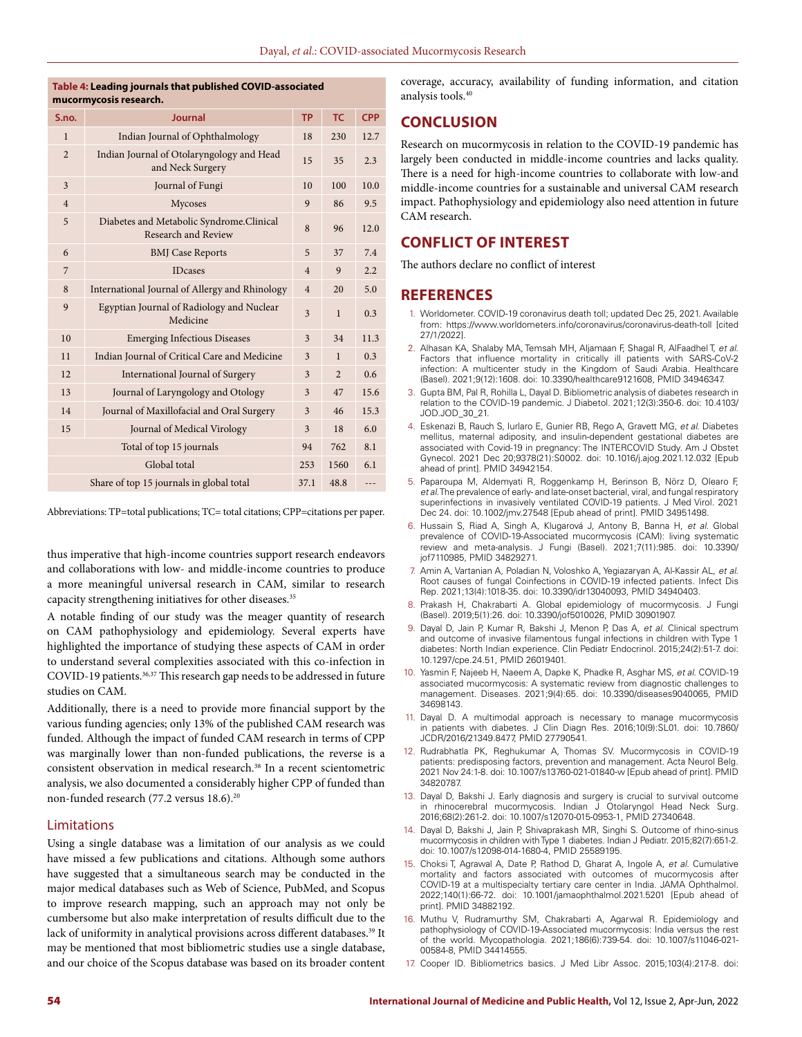#### **Table 4: Leading journals that published COVID-associated mucormycosis research.**

| S.no.          | <b>Journal</b>                                                  | <b>TP</b>      | <b>TC</b>      | <b>CPP</b> |
|----------------|-----------------------------------------------------------------|----------------|----------------|------------|
| $\mathbf{1}$   | Indian Journal of Ophthalmology                                 | 18             | 230            | 12.7       |
| $\overline{2}$ | Indian Journal of Otolaryngology and Head<br>and Neck Surgery   | 15             | 35             | 2.3        |
| 3              | Journal of Fungi                                                | 10             | 100            | 10.0       |
| $\overline{4}$ | Mycoses                                                         | 9              | 86             | 9.5        |
| 5              | Diabetes and Metabolic Syndrome.Clinical<br>Research and Review | 8              | 96             | 12.0       |
| 6              | <b>BMJ</b> Case Reports                                         | 5              | 37             | 7.4        |
| 7              | <b>IDcases</b>                                                  | $\overline{4}$ | 9              | 2.2        |
| 8              | International Journal of Allergy and Rhinology                  | $\overline{4}$ | 20             | 5.0        |
| 9              | Egyptian Journal of Radiology and Nuclear<br>Medicine           | 3              | $\mathbf{1}$   | 0.3        |
| 10             | <b>Emerging Infectious Diseases</b>                             | 3              | 34             | 11.3       |
| 11             | Indian Journal of Critical Care and Medicine                    | 3              | $\mathbf{1}$   | 0.3        |
| 12             | International Journal of Surgery                                | 3              | $\overline{2}$ | 0.6        |
| 13             | Journal of Laryngology and Otology                              | 3              | 47             | 15.6       |
| 14             | Journal of Maxillofacial and Oral Surgery                       | 3              | 46             | 15.3       |
| 15             | Journal of Medical Virology                                     | 3              | 18             | 6.0        |
|                | Total of top 15 journals                                        | 94             | 762            | 8.1        |
|                | Global total                                                    | 253            | 1560           | 6.1        |
|                | Share of top 15 journals in global total                        | 37.1           | 48.8           | ---        |

Abbreviations: TP=total publications; TC= total citations; CPP=citations per paper.

thus imperative that high-income countries support research endeavors and collaborations with low- and middle-income countries to produce a more meaningful universal research in CAM, similar to research capacity strengthening initiatives for other diseases.<sup>35</sup>

A notable finding of our study was the meager quantity of research on CAM pathophysiology and epidemiology. Several experts have highlighted the importance of studying these aspects of CAM in order to understand several complexities associated with this co-infection in COVID-19 patients.<sup>36,37</sup> This research gap needs to be addressed in future studies on CAM.

Additionally, there is a need to provide more financial support by the various funding agencies; only 13% of the published CAM research was funded. Although the impact of funded CAM research in terms of CPP was marginally lower than non-funded publications, the reverse is a consistent observation in medical research.<sup>38</sup> In a recent scientometric analysis, we also documented a considerably higher CPP of funded than non-funded research (77.2 versus 18.6).<sup>20</sup>

## Limitations

Using a single database was a limitation of our analysis as we could have missed a few publications and citations. Although some authors have suggested that a simultaneous search may be conducted in the major medical databases such as Web of Science, PubMed, and Scopus to improve research mapping, such an approach may not only be cumbersome but also make interpretation of results difficult due to the lack of uniformity in analytical provisions across different databases.<sup>39</sup> It may be mentioned that most bibliometric studies use a single database, and our choice of the Scopus database was based on its broader content

coverage, accuracy, availability of funding information, and citation analysis tools.40

# **CONCLUSION**

Research on mucormycosis in relation to the COVID-19 pandemic has largely been conducted in middle-income countries and lacks quality. There is a need for high-income countries to collaborate with low-and middle-income countries for a sustainable and universal CAM research impact. Pathophysiology and epidemiology also need attention in future CAM research.

## **CONFLICT OF INTEREST**

The authors declare no conflict of interest

## **REFERENCES**

- 1. Worldometer. COVID-19 coronavirus death toll; updated Dec 25, 2021. Available from: https://www.worldometers.info/coronavirus/coronavirus-death-toll [cited 27/1/2022].
- 2. Alhasan KA, Shalaby MA, Temsah MH, Aljamaan F, Shagal R, AlFaadhel T, *et al*. Factors that influence mortality in critically ill patients with SARS-CoV-2 infection: A multicenter study in the Kingdom of Saudi Arabia. Healthcare (Basel). 2021;9(12):1608. doi: 10.3390/healthcare9121608, PMID 34946347.
- 3. Gupta BM, Pal R, Rohilla L, Dayal D. Bibliometric analysis of diabetes research in relation to the COVID-19 pandemic. J Diabetol. 2021;12(3):350-6. doi: 10.4103/ JOD.JOD\_30\_21.
- 4. Eskenazi B, Rauch S, Iurlaro E, Gunier RB, Rego A, Gravett MG, *et al*. Diabetes mellitus, maternal adiposity, and insulin-dependent gestational diabetes are associated with Covid-19 in pregnancy: The INTERCOVID Study. Am J Obstet Gynecol. 2021 Dec 20;9378(21):S0002. doi: 10.1016/j.ajog.2021.12.032 [Epub ahead of print]. PMID 34942154.
- 5. Paparoupa M, Aldemyati R, Roggenkamp H, Berinson B, Nörz D, Olearo F, *et al*. The prevalence of early- and late-onset bacterial, viral, and fungal respiratory superinfections in invasively ventilated COVID-19 patients. J Med Virol. 2021 Dec 24. doi: 10.1002/jmv.27548 [Epub ahead of print]. PMID 34951498.
- 6. Hussain S, Riad A, Singh A, Klugarová J, Antony B, Banna H, *et al*. Global prevalence of COVID-19-Associated mucormycosis (CAM): living systematic review and meta-analysis. J Fungi (Basel). 2021;7(11):985. doi: 10.3390/ jof7110985, PMID 34829271.
- 7. Amin A, Vartanian A, Poladian N, Voloshko A, Yegiazaryan A, Al-Kassir AL, *et al*. Root causes of fungal Coinfections in COVID-19 infected patients. Infect Dis Rep. 2021;13(4):1018-35. doi: 10.3390/idr13040093, PMID 34940403.
- 8. Prakash H, Chakrabarti A. Global epidemiology of mucormycosis. J Fungi (Basel). 2019;5(1):26. doi: 10.3390/jof5010026, PMID 30901907.
- 9. Dayal D, Jain P, Kumar R, Bakshi J, Menon P, Das A, *et al*. Clinical spectrum and outcome of invasive filamentous fungal infections in children with Type 1 diabetes: North Indian experience. Clin Pediatr Endocrinol. 2015;24(2):51-7. doi: 10.1297/cpe.24.51, PMID 26019401.
- 10. Yasmin F, Najeeb H, Naeem A, Dapke K, Phadke R, Asghar MS, *et al*. COVID-19 associated mucormycosis: A systematic review from diagnostic challenges to management. Diseases. 2021;9(4):65. doi: 10.3390/diseases9040065, PMID 34698143.
- 11. Dayal D. A multimodal approach is necessary to manage mucormycosis in patients with diabetes. J Clin Diagn Res. 2016;10(9):SL01. doi: 10.7860/ JCDR/2016/21349.8477, PMID 27790541.
- 12. Rudrabhatla PK, Reghukumar A, Thomas SV. Mucormycosis in COVID-19 patients: predisposing factors, prevention and management. Acta Neurol Belg 2021 Nov 24:1-8. doi: 10.1007/s13760-021-01840-w [Epub ahead of print]. PMID 34820787.
- 13. Dayal D, Bakshi J. Early diagnosis and surgery is crucial to survival outcome in rhinocerebral mucormycosis. Indian J Otolaryngol Head Neck Surg. 2016;68(2):261-2. doi: 10.1007/s12070-015-0953-1, PMID 27340648.
- 14. Dayal D, Bakshi J, Jain P, Shivaprakash MR, Singhi S. Outcome of rhino-sinus mucormycosis in children with Type 1 diabetes. Indian J Pediatr. 2015;82(7):651-2. doi: 10.1007/s12098-014-1680-4, PMID 25589195.
- 15. Choksi T, Agrawal A, Date P, Rathod D, Gharat A, Ingole A, *et al*. Cumulative mortality and factors associated with outcomes of mucormycosis after COVID-19 at a multispecialty tertiary care center in India. JAMA Ophthalmol. 2022;140(1):66-72. doi: 10.1001/jamaophthalmol.2021.5201 [Epub ahead of print]. PMID 34882192.
- 16. Muthu V, Rudramurthy SM, Chakrabarti A, Agarwal R. Epidemiology and pathophysiology of COVID-19-Associated mucormycosis: India versus the rest of the world. Mycopathologia. 2021;186(6):739-54. doi: 10.1007/s11046-021- 00584-8, PMID 34414555.
- 17. Cooper ID. Bibliometrics basics. J Med Libr Assoc. 2015;103(4):217-8. doi: